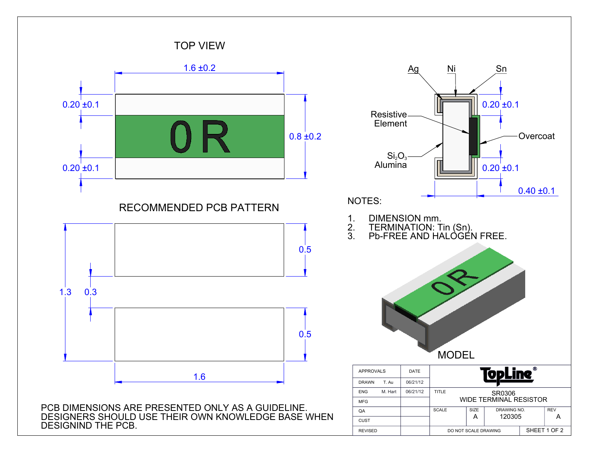